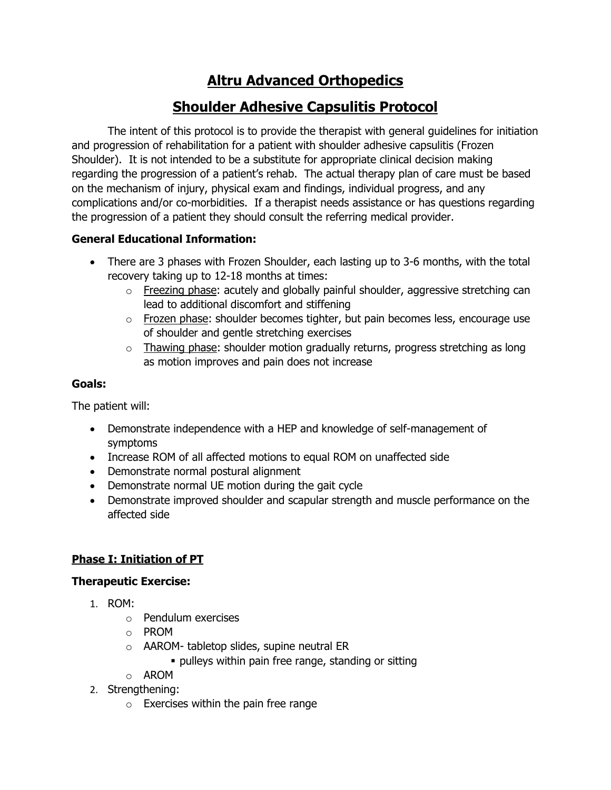# **Altru Advanced Orthopedics**

# **Shoulder Adhesive Capsulitis Protocol**

The intent of this protocol is to provide the therapist with general guidelines for initiation and progression of rehabilitation for a patient with shoulder adhesive capsulitis (Frozen Shoulder). It is not intended to be a substitute for appropriate clinical decision making regarding the progression of a patient's rehab. The actual therapy plan of care must be based on the mechanism of injury, physical exam and findings, individual progress, and any complications and/or co-morbidities. If a therapist needs assistance or has questions regarding the progression of a patient they should consult the referring medical provider.

## **General Educational Information:**

- There are 3 phases with Frozen Shoulder, each lasting up to 3-6 months, with the total recovery taking up to 12-18 months at times:
	- $\circ$  Freezing phase: acutely and globally painful shoulder, aggressive stretching can lead to additional discomfort and stiffening
	- o Frozen phase: shoulder becomes tighter, but pain becomes less, encourage use of shoulder and gentle stretching exercises
	- $\circ$  Thawing phase: shoulder motion gradually returns, progress stretching as long as motion improves and pain does not increase

## **Goals:**

The patient will:

- Demonstrate independence with a HEP and knowledge of self-management of symptoms
- Increase ROM of all affected motions to equal ROM on unaffected side
- Demonstrate normal postural alignment
- Demonstrate normal UE motion during the gait cycle
- Demonstrate improved shoulder and scapular strength and muscle performance on the affected side

# **Phase I: Initiation of PT**

## **Therapeutic Exercise:**

- 1. ROM:
	- o Pendulum exercises
	- o PROM
	- o AAROM- tabletop slides, supine neutral ER
		- **pulleys within pain free range, standing or sitting**
	- o AROM
- 2. Strengthening:
	- $\circ$  Exercises within the pain free range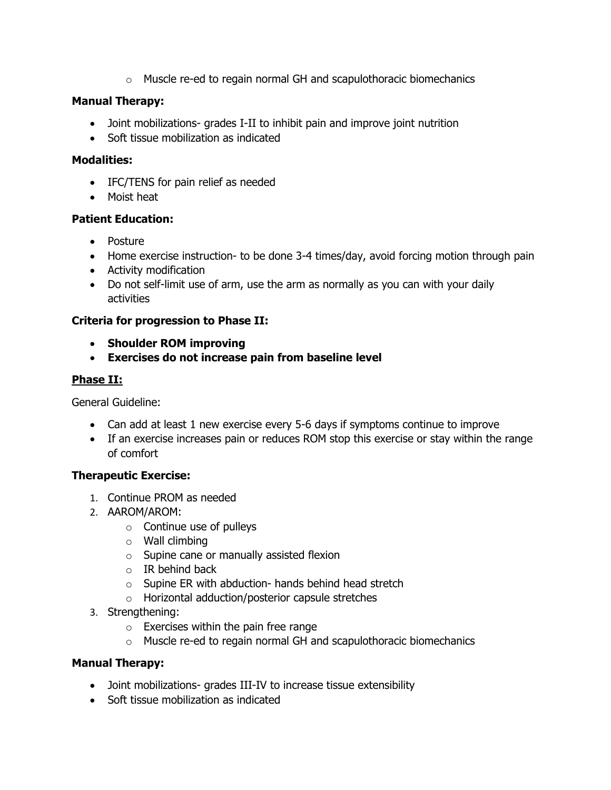$\circ$  Muscle re-ed to regain normal GH and scapulothoracic biomechanics

#### **Manual Therapy:**

- Joint mobilizations- grades I-II to inhibit pain and improve joint nutrition
- Soft tissue mobilization as indicated

### **Modalities:**

- IFC/TENS for pain relief as needed
- Moist heat

### **Patient Education:**

- Posture
- Home exercise instruction- to be done 3-4 times/day, avoid forcing motion through pain
- Activity modification
- Do not self-limit use of arm, use the arm as normally as you can with your daily activities

## **Criteria for progression to Phase II:**

- **Shoulder ROM improving**
- **Exercises do not increase pain from baseline level**

### **Phase II:**

General Guideline:

- Can add at least 1 new exercise every 5-6 days if symptoms continue to improve
- If an exercise increases pain or reduces ROM stop this exercise or stay within the range of comfort

## **Therapeutic Exercise:**

- 1. Continue PROM as needed
- 2. AAROM/AROM:
	- $\circ$  Continue use of pulleys
	- $\circ$  Wall climbing
	- o Supine cane or manually assisted flexion
	- $\circ$  IR behind back
	- o Supine ER with abduction- hands behind head stretch
	- o Horizontal adduction/posterior capsule stretches
- 3. Strengthening:
	- $\circ$  Exercises within the pain free range
	- $\circ$  Muscle re-ed to regain normal GH and scapulothoracic biomechanics

## **Manual Therapy:**

- Joint mobilizations- grades III-IV to increase tissue extensibility
- Soft tissue mobilization as indicated